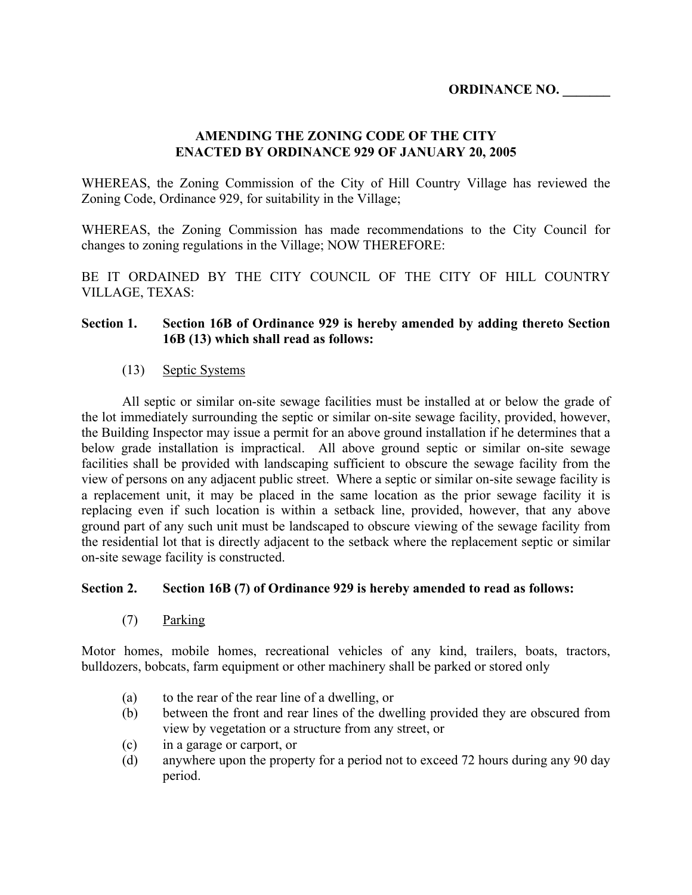#### **AMENDING THE ZONING CODE OF THE CITY ENACTED BY ORDINANCE 929 OF JANUARY 20, 2005**

WHEREAS, the Zoning Commission of the City of Hill Country Village has reviewed the Zoning Code, Ordinance 929, for suitability in the Village;

WHEREAS, the Zoning Commission has made recommendations to the City Council for changes to zoning regulations in the Village; NOW THEREFORE:

BE IT ORDAINED BY THE CITY COUNCIL OF THE CITY OF HILL COUNTRY VILLAGE, TEXAS:

#### **Section 1. Section 16B of Ordinance 929 is hereby amended by adding thereto Section 16B (13) which shall read as follows:**

#### (13) Septic Systems

All septic or similar on-site sewage facilities must be installed at or below the grade of the lot immediately surrounding the septic or similar on-site sewage facility, provided, however, the Building Inspector may issue a permit for an above ground installation if he determines that a below grade installation is impractical. All above ground septic or similar on-site sewage facilities shall be provided with landscaping sufficient to obscure the sewage facility from the view of persons on any adjacent public street. Where a septic or similar on-site sewage facility is a replacement unit, it may be placed in the same location as the prior sewage facility it is replacing even if such location is within a setback line, provided, however, that any above ground part of any such unit must be landscaped to obscure viewing of the sewage facility from the residential lot that is directly adjacent to the setback where the replacement septic or similar on-site sewage facility is constructed.

#### **Section 2. Section 16B (7) of Ordinance 929 is hereby amended to read as follows:**

(7) Parking

Motor homes, mobile homes, recreational vehicles of any kind, trailers, boats, tractors, bulldozers, bobcats, farm equipment or other machinery shall be parked or stored only

- (a) to the rear of the rear line of a dwelling, or
- (b) between the front and rear lines of the dwelling provided they are obscured from view by vegetation or a structure from any street, or
- (c) in a garage or carport, or
- (d) anywhere upon the property for a period not to exceed 72 hours during any 90 day period.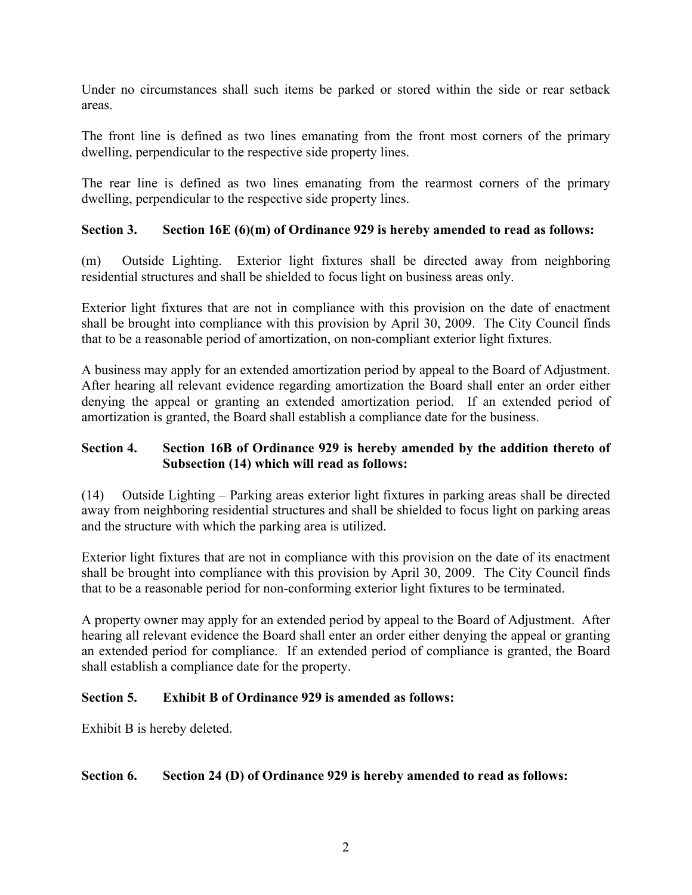Under no circumstances shall such items be parked or stored within the side or rear setback areas.

The front line is defined as two lines emanating from the front most corners of the primary dwelling, perpendicular to the respective side property lines.

The rear line is defined as two lines emanating from the rearmost corners of the primary dwelling, perpendicular to the respective side property lines.

# **Section 3. Section 16E (6)(m) of Ordinance 929 is hereby amended to read as follows:**

(m) Outside Lighting. Exterior light fixtures shall be directed away from neighboring residential structures and shall be shielded to focus light on business areas only.

Exterior light fixtures that are not in compliance with this provision on the date of enactment shall be brought into compliance with this provision by April 30, 2009. The City Council finds that to be a reasonable period of amortization, on non-compliant exterior light fixtures.

A business may apply for an extended amortization period by appeal to the Board of Adjustment. After hearing all relevant evidence regarding amortization the Board shall enter an order either denying the appeal or granting an extended amortization period. If an extended period of amortization is granted, the Board shall establish a compliance date for the business.

## **Section 4. Section 16B of Ordinance 929 is hereby amended by the addition thereto of Subsection (14) which will read as follows:**

(14) Outside Lighting – Parking areas exterior light fixtures in parking areas shall be directed away from neighboring residential structures and shall be shielded to focus light on parking areas and the structure with which the parking area is utilized.

Exterior light fixtures that are not in compliance with this provision on the date of its enactment shall be brought into compliance with this provision by April 30, 2009. The City Council finds that to be a reasonable period for non-conforming exterior light fixtures to be terminated.

A property owner may apply for an extended period by appeal to the Board of Adjustment. After hearing all relevant evidence the Board shall enter an order either denying the appeal or granting an extended period for compliance. If an extended period of compliance is granted, the Board shall establish a compliance date for the property.

# **Section 5. Exhibit B of Ordinance 929 is amended as follows:**

Exhibit B is hereby deleted.

# **Section 6. Section 24 (D) of Ordinance 929 is hereby amended to read as follows:**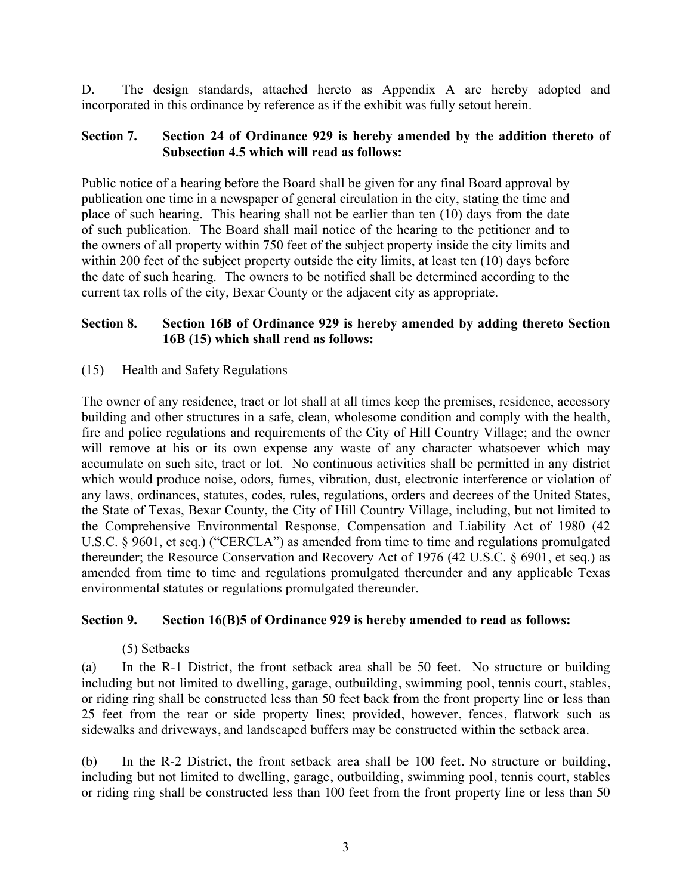D. The design standards, attached hereto as Appendix A are hereby adopted and incorporated in this ordinance by reference as if the exhibit was fully setout herein.

#### **Section 7. Section 24 of Ordinance 929 is hereby amended by the addition thereto of Subsection 4.5 which will read as follows:**

Public notice of a hearing before the Board shall be given for any final Board approval by publication one time in a newspaper of general circulation in the city, stating the time and place of such hearing. This hearing shall not be earlier than ten (10) days from the date of such publication. The Board shall mail notice of the hearing to the petitioner and to the owners of all property within 750 feet of the subject property inside the city limits and within 200 feet of the subject property outside the city limits, at least ten (10) days before the date of such hearing. The owners to be notified shall be determined according to the current tax rolls of the city, Bexar County or the adjacent city as appropriate.

# **Section 8. Section 16B of Ordinance 929 is hereby amended by adding thereto Section 16B (15) which shall read as follows:**

# (15) Health and Safety Regulations

The owner of any residence, tract or lot shall at all times keep the premises, residence, accessory building and other structures in a safe, clean, wholesome condition and comply with the health, fire and police regulations and requirements of the City of Hill Country Village; and the owner will remove at his or its own expense any waste of any character whatsoever which may accumulate on such site, tract or lot. No continuous activities shall be permitted in any district which would produce noise, odors, fumes, vibration, dust, electronic interference or violation of any laws, ordinances, statutes, codes, rules, regulations, orders and decrees of the United States, the State of Texas, Bexar County, the City of Hill Country Village, including, but not limited to the Comprehensive Environmental Response, Compensation and Liability Act of 1980 (42 U.S.C. § 9601, et seq.) ("CERCLA") as amended from time to time and regulations promulgated thereunder; the Resource Conservation and Recovery Act of 1976 (42 U.S.C. § 6901, et seq.) as amended from time to time and regulations promulgated thereunder and any applicable Texas environmental statutes or regulations promulgated thereunder.

# **Section 9. Section 16(B)5 of Ordinance 929 is hereby amended to read as follows:**

#### (5) Setbacks

(a) In the R-1 District, the front setback area shall be 50 feet. No structure or building including but not limited to dwelling, garage, outbuilding, swimming pool, tennis court, stables, or riding ring shall be constructed less than 50 feet back from the front property line or less than 25 feet from the rear or side property lines; provided, however, fences, flatwork such as sidewalks and driveways, and landscaped buffers may be constructed within the setback area.

(b) In the R-2 District, the front setback area shall be 100 feet. No structure or building, including but not limited to dwelling, garage, outbuilding, swimming pool, tennis court, stables or riding ring shall be constructed less than 100 feet from the front property line or less than 50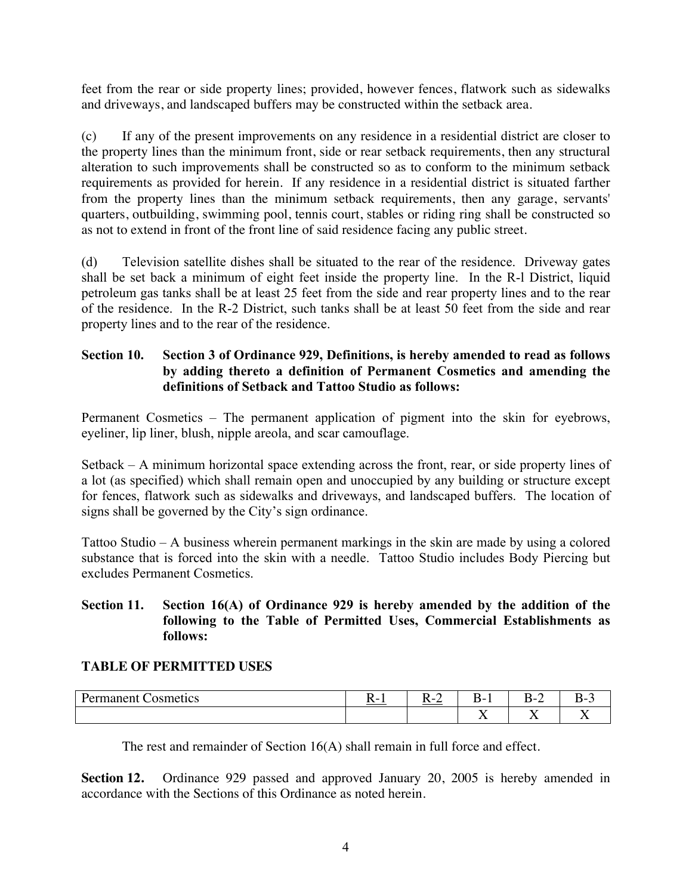feet from the rear or side property lines; provided, however fences, flatwork such as sidewalks and driveways, and landscaped buffers may be constructed within the setback area.

(c) If any of the present improvements on any residence in a residential district are closer to the property lines than the minimum front, side or rear setback requirements, then any structural alteration to such improvements shall be constructed so as to conform to the minimum setback requirements as provided for herein. If any residence in a residential district is situated farther from the property lines than the minimum setback requirements, then any garage, servants' quarters, outbuilding, swimming pool, tennis court, stables or riding ring shall be constructed so as not to extend in front of the front line of said residence facing any public street.

(d) Television satellite dishes shall be situated to the rear of the residence. Driveway gates shall be set back a minimum of eight feet inside the property line. In the R-l District, liquid petroleum gas tanks shall be at least 25 feet from the side and rear property lines and to the rear of the residence. In the R-2 District, such tanks shall be at least 50 feet from the side and rear property lines and to the rear of the residence.

# **Section 10. Section 3 of Ordinance 929, Definitions, is hereby amended to read as follows by adding thereto a definition of Permanent Cosmetics and amending the definitions of Setback and Tattoo Studio as follows:**

Permanent Cosmetics – The permanent application of pigment into the skin for eyebrows, eyeliner, lip liner, blush, nipple areola, and scar camouflage.

Setback – A minimum horizontal space extending across the front, rear, or side property lines of a lot (as specified) which shall remain open and unoccupied by any building or structure except for fences, flatwork such as sidewalks and driveways, and landscaped buffers. The location of signs shall be governed by the City's sign ordinance.

Tattoo Studio – A business wherein permanent markings in the skin are made by using a colored substance that is forced into the skin with a needle. Tattoo Studio includes Body Piercing but excludes Permanent Cosmetics.

## **Section 11. Section 16(A) of Ordinance 929 is hereby amended by the addition of the following to the Table of Permitted Uses, Commercial Establishments as follows:**

#### **TABLE OF PERMITTED USES**

| osmetics | $\overline{\phantom{0}}$ | . . | ``                           | D-.<br>-               | $\mathbf{v}$<br>- |
|----------|--------------------------|-----|------------------------------|------------------------|-------------------|
|          |                          |     | $ -$<br>$\ddot{\phantom{1}}$ | $ -$<br>$\overline{1}$ | $ -$              |

The rest and remainder of Section 16(A) shall remain in full force and effect.

**Section 12.** Ordinance 929 passed and approved January 20, 2005 is hereby amended in accordance with the Sections of this Ordinance as noted herein.